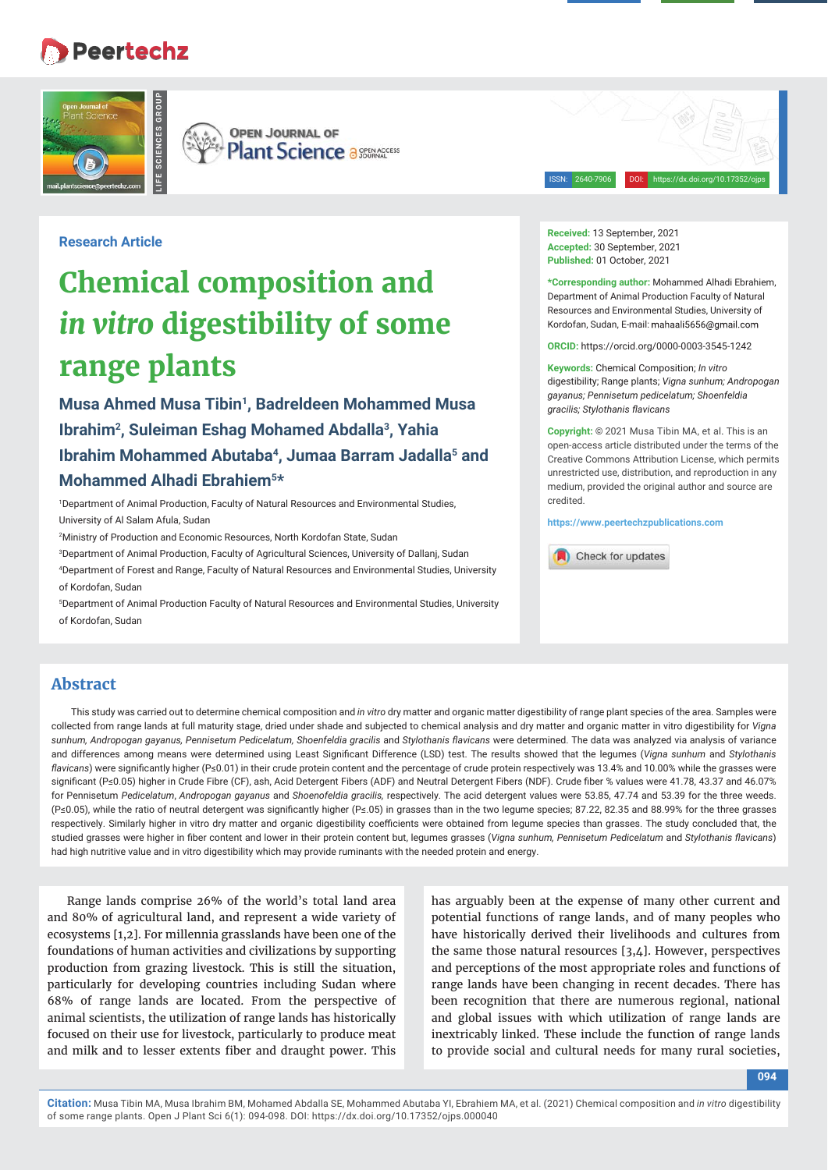# **Peertechz**



**OPEN JOURNAL OF** Plant Science a SOURNACCESS

ISSN: 2640-7906 DOI: https://dx.doi.org/10.17352/ojps

**Research Article**

# **Chemical composition and**  *in vitro* **digestibility of some range plants**

**Musa Ahmed Musa Tibin1, Badreldeen Mohammed Musa Ibrahim2, Suleiman Eshag Mohamed Abdalla3, Yahia Ibrahim Mohammed Abutaba4, Jumaa Barram Jadalla5 and Mohammed Alhadi Ebrahiem5\*** 

1 Department of Animal Production, Faculty of Natural Resources and Environmental Studies, University of Al Salam Afula, Sudan

2 Ministry of Production and Economic Resources, North Kordofan State, Sudan

3 Department of Animal Production, Faculty of Agricultural Sciences, University of Dallanj, Sudan 4 Department of Forest and Range, Faculty of Natural Resources and Environmental Studies, University of Kordofan, Sudan

5 Department of Animal Production Faculty of Natural Resources and Environmental Studies, University of Kordofan, Sudan

**Received:** 13 September, 2021 **Accepted:** 30 September, 2021 **Published:** 01 October, 2021

**\*Corresponding author:** Mohammed Alhadi Ebrahiem, Department of Animal Production Faculty of Natural Resources and Environmental Studies, University of Kordofan, Sudan, E-mail: mahaali5656@gmail.com

**ORCID:** https://orcid.org/0000-0003-3545-1242

**Keywords:** Chemical Composition; *In vitro* digestibility; Range plants; *Vigna sunhum; Andropogan gayanus; Pennisetum pedicelatum; Shoenfeldia gracilis; Stylothanis flavicans* 

**Copyright:** © 2021 Musa Tibin MA, et al. This is an open-access article distributed under the terms of the Creative Commons Attribution License, which permits unrestricted use, distribution, and reproduction in any medium, provided the original author and source are credited.

**https://www.peertechzpublications.com**



## **Abstract**

This study was carried out to determine chemical composition and *in vitro* dry matter and organic matter digestibility of range plant species of the area. Samples were collected from range lands at full maturity stage, dried under shade and subjected to chemical analysis and dry matter and organic matter in vitro digestibility for *Vigna*  sunhum, Andropogan gayanus, Pennisetum Pedicelatum, Shoenfeldia gracilis and Stylothanis flavicans were determined. The data was analyzed via analysis of variance and differences among means were determined using Least Significant Difference (LSD) test. The results showed that the legumes (Vigna sunhum and Stylothanis *flavicans*) were significantly higher (P≤0.01) in their crude protein content and the percentage of crude protein respectively was 13.4% and 10.00% while the grasses were significant (P≤0.05) higher in Crude Fibre (CF), ash, Acid Detergent Fibers (ADF) and Neutral Detergent Fibers (NDF). Crude fiber % values were 41.78, 43.37 and 46.07% for Pennisetum *Pedicelatum*, *Andropogan gayanus* and *Shoenofeldia gracilis,* respectively. The acid detergent values were 53.85, 47.74 and 53.39 for the three weeds. (P≤0.05), while the ratio of neutral detergent was significantly higher (P≤.05) in grasses than in the two legume species; 87.22, 82.35 and 88.99% for the three grasses respectively. Similarly higher in vitro dry matter and organic digestibility coefficients were obtained from legume species than grasses. The study concluded that, the studied grasses were higher in fiber content and lower in their protein content but, legumes grasses (Vigna sunhum, Pennisetum Pedicelatum and Stylothanis flavicans) had high nutritive value and in vitro digestibility which may provide ruminants with the needed protein and energy.

Range lands comprise 26% of the world's total land area and 80% of agricultural land, and represent a wide variety of ecosystems [1,2]. For millennia grasslands have been one of the foundations of human activities and civilizations by supporting production from grazing livestock. This is still the situation, particularly for developing countries including Sudan where 68% of range lands are located. From the perspective of animal scientists, the utilization of range lands has historically focused on their use for livestock, particularly to produce meat and milk and to lesser extents fiber and draught power. This

has arguably been at the expense of many other current and potential functions of range lands, and of many peoples who have historically derived their livelihoods and cultures from the same those natural resources [3,4]. However, perspectives and perceptions of the most appropriate roles and functions of range lands have been changing in recent decades. There has been recognition that there are numerous regional, national and global issues with which utilization of range lands are inextricably linked. These include the function of range lands to provide social and cultural needs for many rural societies,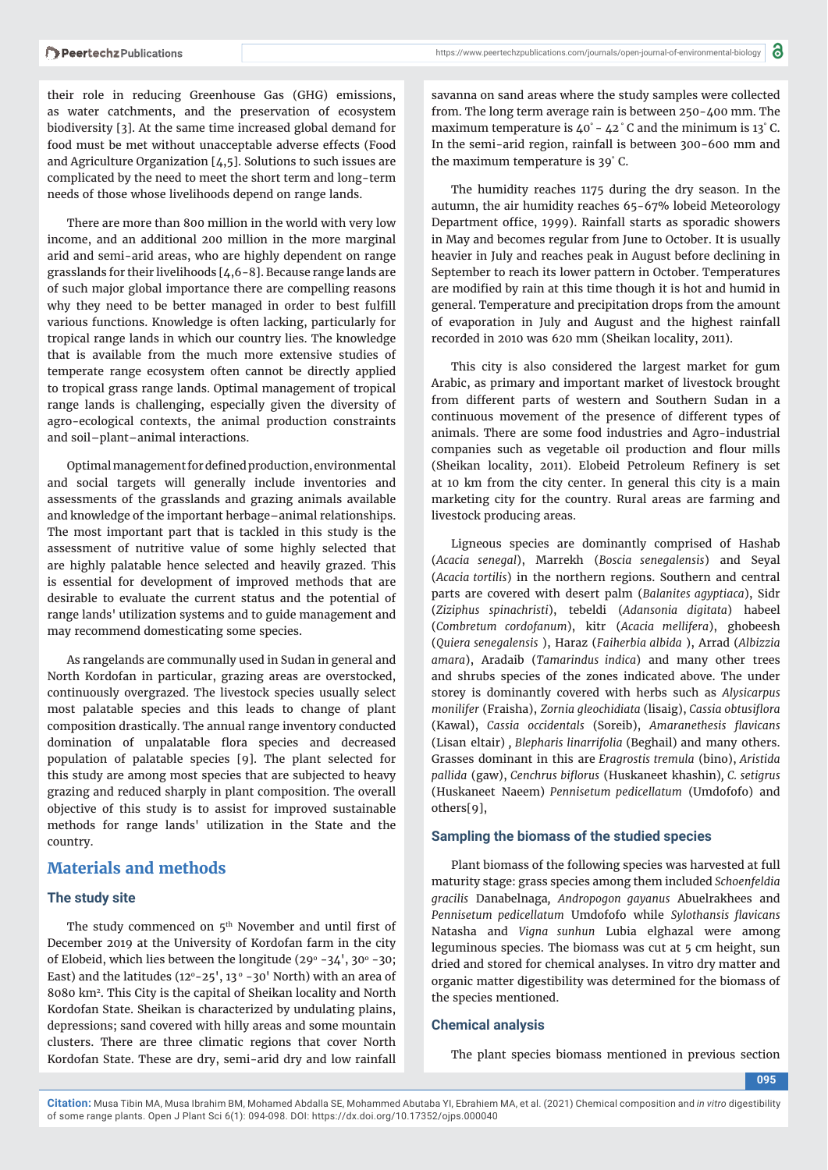their role in reducing Greenhouse Gas (GHG) emissions, as water catchments, and the preservation of ecosystem biodiversity [3]. At the same time increased global demand for food must be met without unacceptable adverse effects (Food and Agriculture Organization  $[4,5]$ . Solutions to such issues are complicated by the need to meet the short term and long-term needs of those whose livelihoods depend on range lands.

There are more than 800 million in the world with very low income, and an additional 200 million in the more marginal arid and semi-arid areas, who are highly dependent on range grasslands for their livelihoods [4,6-8]. Because range lands are of such major global importance there are compelling reasons why they need to be better managed in order to best fulfill various functions. Knowledge is often lacking, particularly for tropical range lands in which our country lies. The knowledge that is available from the much more extensive studies of temperate range ecosystem often cannot be directly applied to tropical grass range lands. Optimal management of tropical range lands is challenging, especially given the diversity of agro-ecological contexts, the animal production constraints and soil–plant–animal interactions.

Optimal management for defined production, environmental and social targets will generally include inventories and assessments of the grasslands and grazing animals available and knowledge of the important herbage–animal relationships. The most important part that is tackled in this study is the assessment of nutritive value of some highly selected that are highly palatable hence selected and heavily grazed. This is essential for development of improved methods that are desirable to evaluate the current status and the potential of range lands' utilization systems and to guide management and may recommend domesticating some species.

As rangelands are communally used in Sudan in general and North Kordofan in particular, grazing areas are overstocked, continuously overgrazed. The livestock species usually select most palatable species and this leads to change of plant composition drastically. The annual range inventory conducted domination of unpalatable flora species and decreased population of palatable species [9]. The plant selected for this study are among most species that are subjected to heavy grazing and reduced sharply in plant composition. The overall objective of this study is to assist for improved sustainable methods for range lands' utilization in the State and the country.

# **Materials and methods**

#### **The study site**

The study commenced on 5<sup>th</sup> November and until first of December 2019 at the University of Kordofan farm in the city of Elobeid, which lies between the longitude (29 $^{\circ}$  -34', 30 $^{\circ}$  -30; East) and the latitudes  $(12^{\circ}-25^{\prime}, 13^{\circ}-30^{\prime}$  North) with an area of 8080 km2. This City is the capital of Sheikan locality and North Kordofan State. Sheikan is characterized by undulating plains, depressions; sand covered with hilly areas and some mountain clusters. There are three climatic regions that cover North Kordofan State. These are dry, semi-arid dry and low rainfall

https://www.peertechzpublications.com/journals/open-journal-of-environmental-biology

savanna on sand areas where the study samples were collected from. The long term average rain is between 250-400 mm. The maximum temperature is 40° - 42 ° C and the minimum is 13° C. In the semi-arid region, rainfall is between 300-600 mm and the maximum temperature is 39° C.

The humidity reaches 1175 during the dry season. In the autumn, the air humidity reaches 65-67% lobeid Meteorology Department office, 1999). Rainfall starts as sporadic showers in May and becomes regular from June to October. It is usually heavier in July and reaches peak in August before declining in September to reach its lower pattern in October. Temperatures are modified by rain at this time though it is hot and humid in general. Temperature and precipitation drops from the amount of evaporation in July and August and the highest rainfall recorded in 2010 was 620 mm (Sheikan locality, 2011).

This city is also considered the largest market for gum Arabic, as primary and important market of livestock brought from different parts of western and Southern Sudan in a continuous movement of the presence of different types of animals. There are some food industries and Agro-industrial companies such as vegetable oil production and flour mills (Sheikan locality, 2011). Elobeid Petroleum Refinery is set at 10 km from the city center. In general this city is a main marketing city for the country. Rural areas are farming and livestock producing areas.

Ligneous species are dominantly comprised of Hashab (*Acacia senegal*), Marrekh (*Boscia senegalensis*) and Seyal (*Acacia tortilis*) in the northern regions. Southern and central parts are covered with desert palm (*Balanites agyptiaca*), Sidr (*Ziziphus spinachristi*), tebeldi (*Adansonia digitata*) habeel (*Combretum cordofanum*), kitr (*Acacia mellifera*), ghobeesh (*Quiera senegalensis* ), Haraz (*Faiherbia albida* ), Arrad (*Albizzia amara*), Aradaib (*Tamarindus indica*) and many other trees and shrubs species of the zones indicated above. The under storey is dominantly covered with herbs such as *Alysicarpus monilifer* (Fraisha), *Zornia gleochidiata* (lisaig), *Cassia obtusifl ora*  (Kawal), *Cassia occidentals* (Soreib), *Amaranethesis fl avicans* (Lisan eltair) *, Blepharis linarrifolia* (Beghail) and many others. Grasses dominant in this are *Eragrostis tremula* (bino), *Aristida pallida* (gaw), *Cenchrus bifl orus* (Huskaneet khashin)*, C. setigrus*  (Huskaneet Naeem) *Pennisetum pedicellatum* (Umdofofo) and others[9],

#### **Sampling the biomass of the studied species**

Plant biomass of the following species was harvested at full maturity stage: grass species among them included *Schoenfeldia gracilis* Danabelnaga*, Andropogon gayanus* Abuelrakhees and *Pennisetum pedicellatum Umdofofo while Sylothansis flavicans* Natasha and *Vigna sunhun* Lubia elghazal were among leguminous species. The biomass was cut at 5 cm height, sun dried and stored for chemical analyses. In vitro dry matter and organic matter digestibility was determined for the biomass of the species mentioned.

#### **Chemical analysis**

The plant species biomass mentioned in previous section

**095**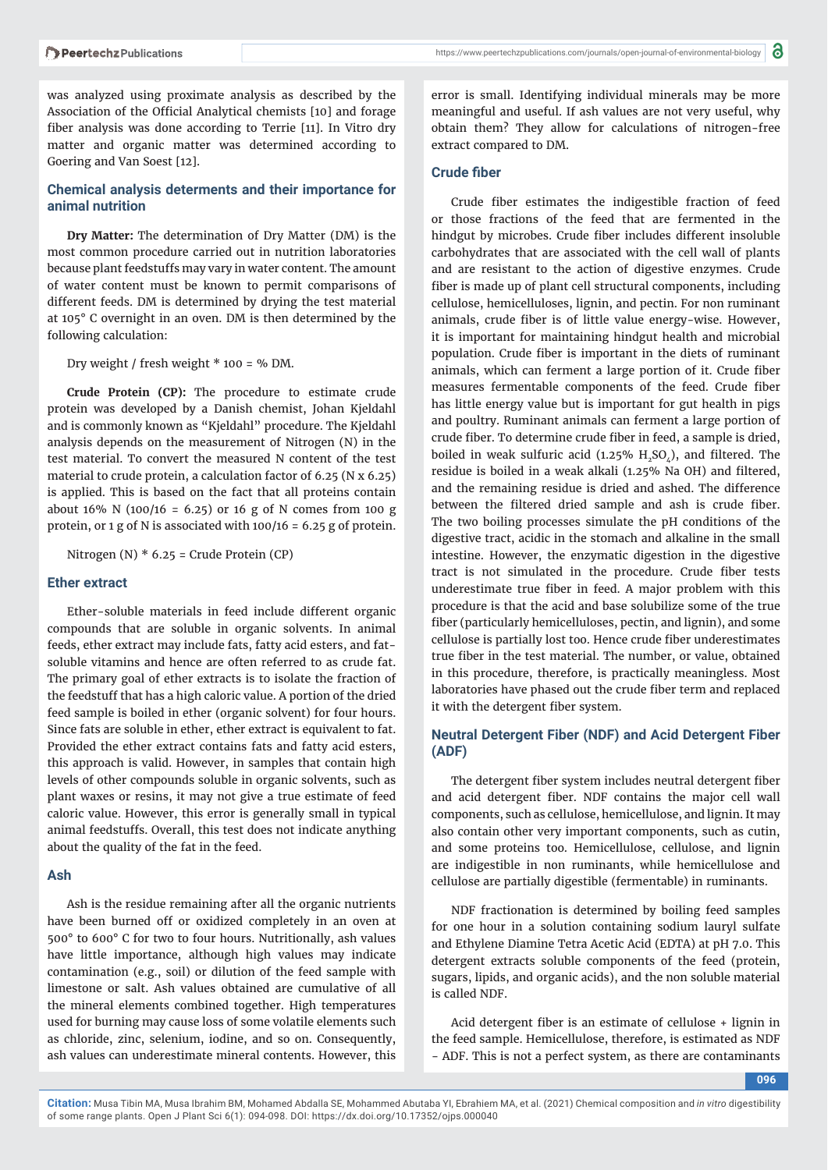was analyzed using proximate analysis as described by the Association of the Official Analytical chemists [10] and forage fiber analysis was done according to Terrie [11]. In Vitro dry matter and organic matter was determined according to Goering and Van Soest [12].

#### **Chemical analysis determents and their importance for animal nutrition**

**Dry Matter:** The determination of Dry Matter (DM) is the most common procedure carried out in nutrition laboratories because plant feedstuffs may vary in water content. The amount of water content must be known to permit comparisons of different feeds. DM is determined by drying the test material at 105° C overnight in an oven. DM is then determined by the following calculation:

Dry weight / fresh weight \* 100 = % DM.

**Crude Protein (CP):** The procedure to estimate crude protein was developed by a Danish chemist, Johan Kjeldahl and is commonly known as "Kjeldahl" procedure. The Kjeldahl analysis depends on the measurement of Nitrogen (N) in the test material. To convert the measured N content of the test material to crude protein, a calculation factor of 6.25 (N x 6.25) is applied. This is based on the fact that all proteins contain about 16% N (100/16 = 6.25) or 16 g of N comes from 100 g protein, or 1 g of N is associated with  $100/16 = 6.25$  g of protein.

Nitrogen (N) \* 6.25 = Crude Protein (CP)

#### **Ether extract**

Ether-soluble materials in feed include different organic compounds that are soluble in organic solvents. In animal feeds, ether extract may include fats, fatty acid esters, and fatsoluble vitamins and hence are often referred to as crude fat. The primary goal of ether extracts is to isolate the fraction of the feedstuff that has a high caloric value. A portion of the dried feed sample is boiled in ether (organic solvent) for four hours. Since fats are soluble in ether, ether extract is equivalent to fat. Provided the ether extract contains fats and fatty acid esters, this approach is valid. However, in samples that contain high levels of other compounds soluble in organic solvents, such as plant waxes or resins, it may not give a true estimate of feed caloric value. However, this error is generally small in typical animal feedstuffs. Overall, this test does not indicate anything about the quality of the fat in the feed.

#### **Ash**

Ash is the residue remaining after all the organic nutrients have been burned off or oxidized completely in an oven at 500° to 600° C for two to four hours. Nutritionally, ash values have little importance, although high values may indicate contamination (e.g., soil) or dilution of the feed sample with limestone or salt. Ash values obtained are cumulative of all the mineral elements combined together. High temperatures used for burning may cause loss of some volatile elements such as chloride, zinc, selenium, iodine, and so on. Consequently, ash values can underestimate mineral contents. However, this

error is small. Identifying individual minerals may be more meaningful and useful. If ash values are not very useful, why obtain them? They allow for calculations of nitrogen-free extract compared to DM.

#### **Crude fiber**

Crude fiber estimates the indigestible fraction of feed or those fractions of the feed that are fermented in the hindgut by microbes. Crude fiber includes different insoluble carbohydrates that are associated with the cell wall of plants and are resistant to the action of digestive enzymes. Crude fiber is made up of plant cell structural components, including cellulose, hemicelluloses, lignin, and pectin. For non ruminant animals, crude fiber is of little value energy-wise. However, it is important for maintaining hindgut health and microbial population. Crude fiber is important in the diets of ruminant animals, which can ferment a large portion of it. Crude fiber measures fermentable components of the feed. Crude fiber has little energy value but is important for gut health in pigs and poultry. Ruminant animals can ferment a large portion of crude fiber. To determine crude fiber in feed, a sample is dried, boiled in weak sulfuric acid (1.25%  $H_2SO_4$ ), and filtered. The residue is boiled in a weak alkali (1.25% Na OH) and filtered, and the remaining residue is dried and ashed. The difference between the filtered dried sample and ash is crude fiber. The two boiling processes simulate the pH conditions of the digestive tract, acidic in the stomach and alkaline in the small intestine. However, the enzymatic digestion in the digestive tract is not simulated in the procedure. Crude fiber tests underestimate true fiber in feed. A major problem with this procedure is that the acid and base solubilize some of the true fiber (particularly hemicelluloses, pectin, and lignin), and some cellulose is partially lost too. Hence crude fiber underestimates true fiber in the test material. The number, or value, obtained in this procedure, therefore, is practically meaningless. Most laboratories have phased out the crude fiber term and replaced it with the detergent fiber system.

#### **Neutral Detergent Fiber (NDF) and Acid Detergent Fiber (ADF)**

The detergent fiber system includes neutral detergent fiber and acid detergent fiber. NDF contains the major cell wall components, such as cellulose, hemicellulose, and lignin. It may also contain other very important components, such as cutin, and some proteins too. Hemicellulose, cellulose, and lignin are indigestible in non ruminants, while hemicellulose and cellulose are partially digestible (fermentable) in ruminants.

NDF fractionation is determined by boiling feed samples for one hour in a solution containing sodium lauryl sulfate and Ethylene Diamine Tetra Acetic Acid (EDTA) at pH 7.0. This detergent extracts soluble components of the feed (protein, sugars, lipids, and organic acids), and the non soluble material is called NDF.

Acid detergent fiber is an estimate of cellulose  $+$  lignin in the feed sample. Hemicellulose, therefore, is estimated as NDF − ADF. This is not a perfect system, as there are contaminants

**096**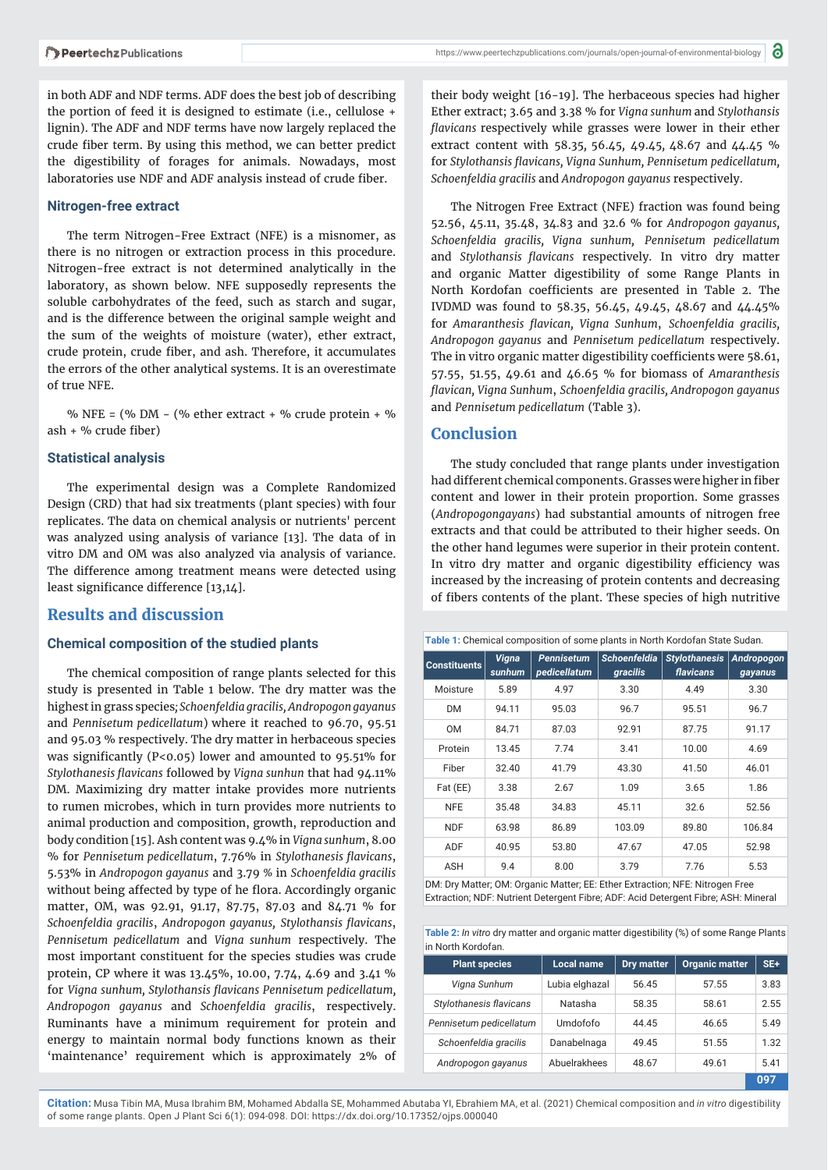in both ADF and NDF terms. ADF does the best job of describing the portion of feed it is designed to estimate (i.e., cellulose + lignin). The ADF and NDF terms have now largely replaced the crude fiber term. By using this method, we can better predict the digestibility of forages for animals. Nowadays, most laboratories use NDF and ADF analysis instead of crude fiber.

#### **Nitrogen-free extract**

The term Nitrogen-Free Extract (NFE) is a misnomer, as there is no nitrogen or extraction process in this procedure. Nitrogen-free extract is not determined analytically in the laboratory, as shown below. NFE supposedly represents the soluble carbohydrates of the feed, such as starch and sugar, and is the difference between the original sample weight and the sum of the weights of moisture (water), ether extract, crude protein, crude fiber, and ash. Therefore, it accumulates the errors of the other analytical systems. It is an overestimate of true NFE.

% NFE =  $\frac{6}{6}$  DM -  $\frac{6}{6}$  ether extract + % crude protein + %  $ash + %$  crude fiber)

#### **Statistical analysis**

The experimental design was a Complete Randomized Design (CRD) that had six treatments (plant species) with four replicates. The data on chemical analysis or nutrients' percent was analyzed using analysis of variance [13]. The data of in vitro DM and OM was also analyzed via analysis of variance. The difference among treatment means were detected using least significance difference [13,14].

### **Results and discussion**

#### **Chemical composition of the studied plants**

The chemical composition of range plants selected for this study is presented in Table 1 below. The dry matter was the highest in grass species*; Schoenfeldia gracilis, Andropogon gayanus* and *Pennisetum pedicellatum*) where it reached to 96.70, 95.51 and 95.03 % respectively. The dry matter in herbaceous species was significantly ( $P < 0.05$ ) lower and amounted to  $95.51\%$  for *Stylothanesis fl avicans* followed by *Vigna sunhun* that had 94.11% DM. Maximizing dry matter intake provides more nutrients to rumen microbes, which in turn provides more nutrients to animal production and composition, growth, reproduction and body condition [15]. Ash content was 9.4% in *Vigna sunhum*, 8.00 % for *Pennisetum pedicellatum*, 7.76% in *Stylothanesis flavicans*, 5.53% in *Andropogon gayanus* and 3.79 *%* in *Schoenfeldia gracilis* without being affected by type of he flora. Accordingly organic matter, OM, was 92.91, 91.17, 87.75, 87.03 and 84.71 % for *Schoenfeldia gracilis*, *Andropogon gayanus, Stylothansis fl avicans*, *Pennisetum pedicellatum* and *Vigna sunhum* respectively. The most important constituent for the species studies was crude protein, CP where it was 13.45%, 10.00, 7.74, 4.69 and 3.41 % for *Vigna sunhum, Stylothansis flavicans Pennisetum pedicellatum, Andropogon gayanus* and *Schoenfeldia gracilis*, respectively. Ruminants have a minimum requirement for protein and energy to maintain normal body functions known as their 'maintenance' requirement which is approximately 2% of

their body weight [16-19]. The herbaceous species had higher Ether extract; 3.65 and 3.38 % for *Vigna sunhum* and *Stylothansis*  flavicans respectively while grasses were lower in their ether extract content with 58.35*,* 56.45*,* 49.45*,* 48.67 and 44.45 % for *Stylothansis flavicans, Vigna Sunhum, Pennisetum pedicellatum, Schoenfeldia gracilis* and *Andropogon gayanus* respectively.

The Nitrogen Free Extract (NFE) fraction was found being 52.56, 45.11, 35.48, 34.83 and 32.6 % for *Andropogon gayanus, Schoenfeldia gracilis, Vigna sunhum, Pennisetum pedicellatum* and *Stylothansis flavicans* respectively. In vitro dry matter and organic Matter digestibility of some Range Plants in North Kordofan coefficients are presented in Table 2. The IVDMD was found to 58.35, 56.45, 49.45, 48.67 and 44.45% for Amaranthesis flavican, Vigna Sunhum, Schoenfeldia gracilis, *Andropogon gayanus* and *Pennisetum pedicellatum* respectively. The in vitro organic matter digestibility coefficients were 58.61, 57.55, 51.55, 49.61 and 46.65 % for biomass of *Amaranthesis fl avican, Vigna Sunhum*, *Schoenfeldia gracilis, Andropogon gayanus* and *Pennisetum pedicellatum* (Table 3).

#### **Conclusion**

The study concluded that range plants under investigation had different chemical components. Grasses were higher in fiber content and lower in their protein proportion. Some grasses (*Andropogongayans*) had substantial amounts of nitrogen free extracts and that could be attributed to their higher seeds. On the other hand legumes were superior in their protein content. In vitro dry matter and organic digestibility efficiency was increased by the increasing of protein contents and decreasing of fibers contents of the plant. These species of high nutritive

**Table 1:** Chemical composition of some plants in North Kordofan State Sudan.

| <b>Constituents</b> | <b>Vigna</b><br>sunhum | <b>Pennisetum</b><br>pedicellatum | <b>Schoenfeldia</b><br>gracilis | <b>Stylothanesis</b><br>flavicans | Andropogon<br>gayanus |
|---------------------|------------------------|-----------------------------------|---------------------------------|-----------------------------------|-----------------------|
| Moisture            | 5.89                   | 4.97                              | 3.30                            | 4.49                              | 3.30                  |
| DM                  | 94.11                  | 95.03                             | 96.7                            | 95.51                             | 96.7                  |
| 0M                  | 84.71                  | 87.03                             | 92.91                           | 87.75                             | 91.17                 |
| Protein             | 13.45                  | 7.74                              | 3.41                            | 10.00                             | 4.69                  |
| Fiber               | 32.40                  | 41.79                             | 43.30                           | 41.50                             | 46.01                 |
| Fat (EE)            | 3.38                   | 2.67                              | 1.09                            | 3.65                              | 1.86                  |
| <b>NFE</b>          | 35.48                  | 34.83                             | 45.11                           | 32.6                              | 52.56                 |
| <b>NDF</b>          | 63.98                  | 86.89                             | 103.09                          | 89.80                             | 106.84                |
| ADF                 | 40.95                  | 53.80                             | 47.67                           | 47.05                             | 52.98                 |
| ASH                 | 9.4                    | 8.00                              | 3.79                            | 7.76                              | 5.53                  |

DM: Dry Matter; OM: Organic Matter; EE: Ether Extraction; NFE: Nitrogen Free Extraction; NDF: Nutrient Detergent Fibre; ADF: Acid Detergent Fibre; ASH: Mineral

| Table 2: In vitro dry matter and organic matter digestibility (%) of some Range Plants |
|----------------------------------------------------------------------------------------|
| lin North Kordofan.                                                                    |

| <b>Plant species</b>    | <b>Local name</b> | <b>Dry matter</b> | <b>Organic matter</b> | SE+  |
|-------------------------|-------------------|-------------------|-----------------------|------|
| Vigna Sunhum            | Lubia elghazal    | 56.45             | 57.55                 | 3.83 |
| Stylothanesis flavicans | Natasha           | 58.35             | 58.61                 | 2.55 |
| Pennisetum pedicellatum | Umdofofo          | 44.45             | 46.65                 | 5.49 |
| Schoenfeldia gracilis   | Danabelnaga       | 49.45             | 51.55                 | 1.32 |
| Andropogon gayanus      | Abuelrakhees      | 48.67             | 49.61                 | 5.41 |
|                         |                   |                   |                       | 097  |